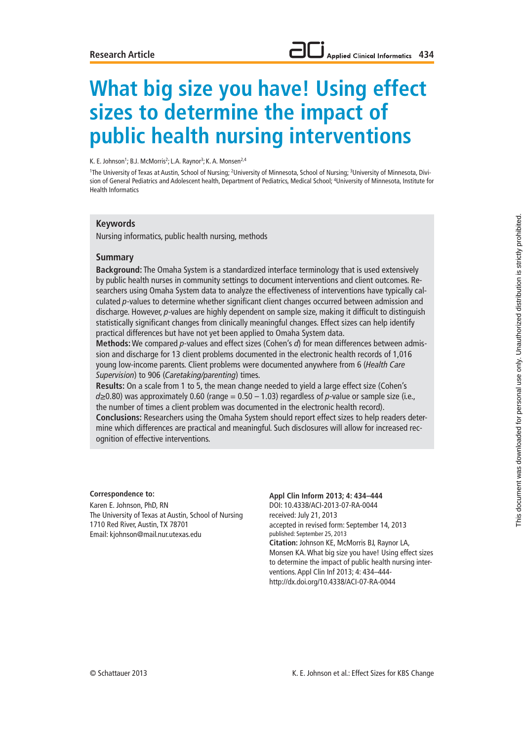# **What big size you have! Using effect sizes to determine the impact of public health nursing interventions**

K. E. Johnson<sup>1</sup>; B.J. McMorris<sup>2</sup>; L.A. Raynor<sup>3</sup>; K. A. Monsen<sup>2,4</sup>

<sup>1</sup>The University of Texas at Austin, School of Nursing; <sup>2</sup>University of Minnesota, School of Nursing; <sup>3</sup>University of Minnesota, Division of General Pediatrics and Adolescent health, Department of Pediatrics, Medical School; 4 University of Minnesota, Institute for Health Informatics

#### **Keywords**

Nursing informatics, public health nursing, methods

#### **Summary**

**Background:** The Omaha System is a standardized interface terminology that is used extensively by public health nurses in community settings to document interventions and client outcomes. Researchers using Omaha System data to analyze the effectiveness of interventions have typically calculated *p*-values to determine whether significant client changes occurred between admission and discharge. However, *p*-values are highly dependent on sample size, making it difficult to distinguish statistically significant changes from clinically meaningful changes. Effect sizes can help identify practical differences but have not yet been applied to Omaha System data.

**Methods:** We compared *p*-values and effect sizes (Cohen's *d*) for mean differences between admission and discharge for 13 client problems documented in the electronic health records of 1,016 young low-income parents. Client problems were documented anywhere from 6 (*Health Care Supervision*) to 906 (*Caretaking/parenting*) times.

**Results:** On a scale from 1 to 5, the mean change needed to yield a large effect size (Cohen's *d*≥0.80) was approximately 0.60 (range = 0.50 – 1.03) regardless of *p*-value or sample size (i.e., the number of times a client problem was documented in the electronic health record). **Conclusions:** Researchers using the Omaha System should report effect sizes to help readers determine which differences are practical and meaningful. Such disclosures will allow for increased rec-

ognition of effective interventions.

#### **Correspondence to:**

Karen E. Johnson, PhD, RN The University of Texas at Austin, School of Nursing 1710 Red River, Austin, TX 78701 Email: kjohnson@mail.nur.utexas.edu

#### **Appl Clin Inform 2013; 4: 434–444**

DOI: 10.4338/ACI-2013-07-RA-0044 received: July 21, 2013 accepted in revised form: September 14, 2013 published: September 25, 2013 **Citation:** Johnson KE, McMorris BJ, Raynor LA, Monsen KA. What big size you have! Using effect sizes to determine the impact of public health nursing interventions. Appl Clin Inf 2013; 4: 434–444 http://dx.doi.org/10.4338/ACI-07-RA-0044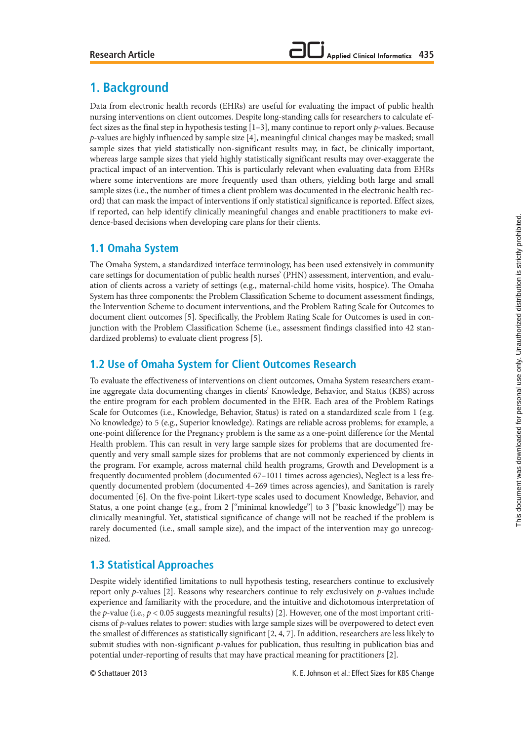# **1. Background**

Data from electronic health records (EHRs) are useful for evaluating the impact of public health nursing interventions on client outcomes. Despite long-standing calls for researchers to calculate effect sizes as the final step in hypothesis testing [1–3], many continue to report only *p*-values. Because *p*-values are highly influenced by sample size [4], meaningful clinical changes may be masked; small sample sizes that yield statistically non-significant results may, in fact, be clinically important, whereas large sample sizes that yield highly statistically significant results may over-exaggerate the practical impact of an intervention. This is particularly relevant when evaluating data from EHRs where some interventions are more frequently used than others, yielding both large and small sample sizes (i.e., the number of times a client problem was documented in the electronic health record) that can mask the impact of interventions if only statistical significance is reported. Effect sizes, if reported, can help identify clinically meaningful changes and enable practitioners to make evidence-based decisions when developing care plans for their clients.

## **1.1 Omaha System**

The Omaha System, a standardized interface terminology, has been used extensively in community care settings for documentation of public health nurses' (PHN) assessment, intervention, and evaluation of clients across a variety of settings (e.g., maternal-child home visits, hospice). The Omaha System has three components: the Problem Classification Scheme to document assessment findings, the Intervention Scheme to document interventions, and the Problem Rating Scale for Outcomes to document client outcomes [5]. Specifically, the Problem Rating Scale for Outcomes is used in conjunction with the Problem Classification Scheme (i.e., assessment findings classified into 42 standardized problems) to evaluate client progress [5].

## **1.2 Use of Omaha System for Client Outcomes Research**

To evaluate the effectiveness of interventions on client outcomes, Omaha System researchers examine aggregate data documenting changes in clients' Knowledge, Behavior, and Status (KBS) across the entire program for each problem documented in the EHR. Each area of the Problem Ratings Scale for Outcomes (i.e., Knowledge, Behavior, Status) is rated on a standardized scale from 1 (e.g. No knowledge) to 5 (e.g., Superior knowledge). Ratings are reliable across problems; for example, a one-point difference for the Pregnancy problem is the same as a one-point difference for the Mental Health problem. This can result in very large sample sizes for problems that are documented frequently and very small sample sizes for problems that are not commonly experienced by clients in the program. For example, across maternal child health programs, Growth and Development is a frequently documented problem (documented 67–1011 times across agencies), Neglect is a less frequently documented problem (documented 4–269 times across agencies), and Sanitation is rarely documented [6]. On the five-point Likert-type scales used to document Knowledge, Behavior, and Status, a one point change (e.g., from 2 ["minimal knowledge"] to 3 ["basic knowledge"]) may be clinically meaningful. Yet, statistical significance of change will not be reached if the problem is rarely documented (i.e., small sample size), and the impact of the intervention may go unrecognized.

## **1.3 Statistical Approaches**

Despite widely identified limitations to null hypothesis testing, researchers continue to exclusively report only *p*-values [2]. Reasons why researchers continue to rely exclusively on *p*-values include experience and familiarity with the procedure, and the intuitive and dichotomous interpretation of the *p*-value (i.e.,  $p < 0.05$  suggests meaningful results) [2]. However, one of the most important criticisms of *p*-values relates to power: studies with large sample sizes will be overpowered to detect even the smallest of differences as statistically significant [2, 4, 7]. In addition, researchers are less likely to submit studies with non-significant *p*-values for publication, thus resulting in publication bias and potential under-reporting of results that may have practical meaning for practitioners [2].

© Schattauer 2013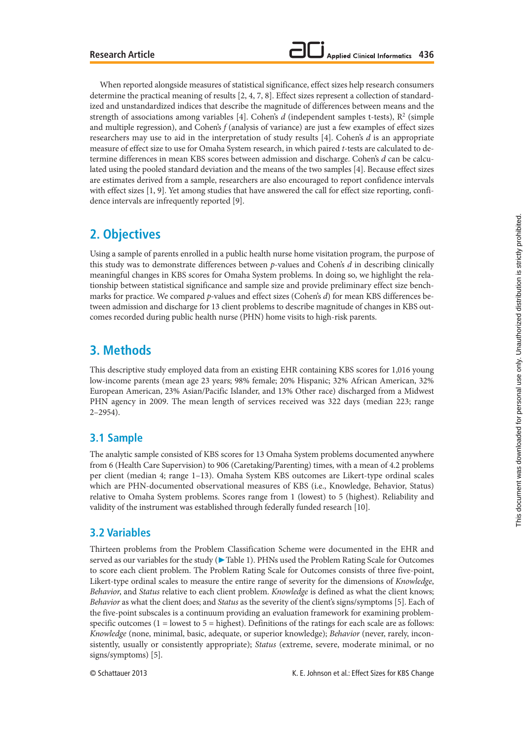When reported alongside measures of statistical significance, effect sizes help research consumers determine the practical meaning of results [2, 4, 7, 8]. Effect sizes represent a collection of standardized and unstandardized indices that describe the magnitude of differences between means and the strength of associations among variables [4]. Cohen's *d* (independent samples t-tests), R<sup>2</sup> (simple and multiple regression), and Cohen's *f* (analysis of variance) are just a few examples of effect sizes researchers may use to aid in the interpretation of study results [4]. Cohen's *d* is an appropriate measure of effect size to use for Omaha System research, in which paired *t*-tests are calculated to determine differences in mean KBS scores between admission and discharge. Cohen's *d* can be calculated using the pooled standard deviation and the means of the two samples [4]. Because effect sizes are estimates derived from a sample, researchers are also encouraged to report confidence intervals with effect sizes [1, 9]. Yet among studies that have answered the call for effect size reporting, confidence intervals are infrequently reported [9].

# **2. Objectives**

Using a sample of parents enrolled in a public health nurse home visitation program, the purpose of this study was to demonstrate differences between *p*-values and Cohen's *d* in describing clinically meaningful changes in KBS scores for Omaha System problems. In doing so, we highlight the relationship between statistical significance and sample size and provide preliminary effect size benchmarks for practice. We compared *p-*values and effect sizes (Cohen's *d*) for mean KBS differences between admission and discharge for 13 client problems to describe magnitude of changes in KBS outcomes recorded during public health nurse (PHN) home visits to high-risk parents.

# **3. Methods**

This descriptive study employed data from an existing EHR containing KBS scores for 1,016 young low-income parents (mean age 23 years; 98% female; 20% Hispanic; 32% African American, 32% European American, 23% Asian/Pacific Islander, and 13% Other race) discharged from a Midwest PHN agency in 2009. The mean length of services received was 322 days (median 223; range 2–2954).

## **3.1 Sample**

The analytic sample consisted of KBS scores for 13 Omaha System problems documented anywhere from 6 (Health Care Supervision) to 906 (Caretaking/Parenting) times, with a mean of 4.2 problems per client (median 4; range 1–13). Omaha System KBS outcomes are Likert-type ordinal scales which are PHN-documented observational measures of KBS (i.e., Knowledge, Behavior, Status) relative to Omaha System problems. Scores range from 1 (lowest) to 5 (highest). Reliability and validity of the instrument was established through federally funded research [10].

## **3.2 Variables**

Thirteen problems from the Problem Classification Scheme were documented in the EHR and served as our variables for the study (▶ Table 1). PHNs used the Problem Rating Scale for Outcomes to score each client problem. The Problem Rating Scale for Outcomes consists of three five-point, Likert-type ordinal scales to measure the entire range of severity for the dimensions of *Knowledge*, *Behavior*, and *Status* relative to each client problem. *Knowledge* is defined as what the client knows; *Behavior* as what the client does; and *Status* as the severity of the client's signs/symptoms [5]. Each of the five-point subscales is a continuum providing an evaluation framework for examining problemspecific outcomes  $(1 =$  lowest to  $5 =$  highest). Definitions of the ratings for each scale are as follows: *Knowledge* (none, minimal, basic, adequate, or superior knowledge); *Behavior* (never, rarely, inconsistently, usually or consistently appropriate); *Status* (extreme, severe, moderate minimal, or no signs/symptoms) [5].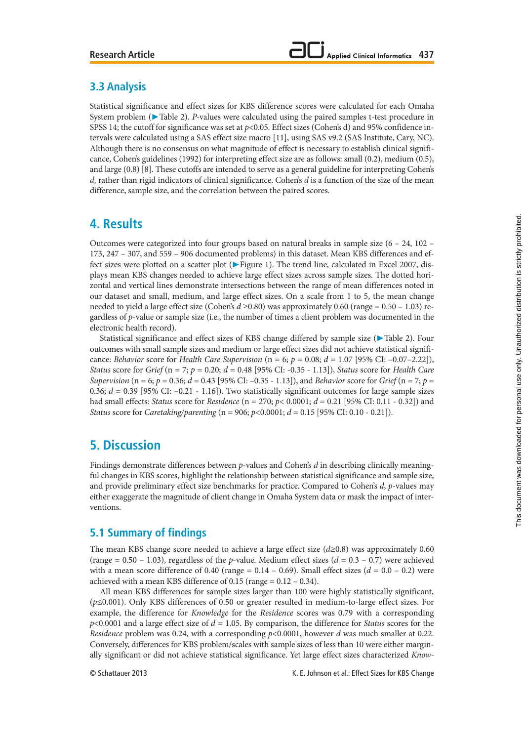## **3.3 Analysis**

Statistical significance and effect sizes for KBS difference scores were calculated for each Omaha System problem ( $\blacktriangleright$  Table 2). *P*-values were calculated using the paired samples t-test procedure in SPSS 14; the cutoff for significance was set at *p*<0.05. Effect sizes (Cohen's d) and 95% confidence intervals were calculated using a SAS effect size macro [11], using SAS v9.2 (SAS Institute, Cary, NC). Although there is no consensus on what magnitude of effect is necessary to establish clinical significance, Cohen's guidelines (1992) for interpreting effect size are as follows: small (0.2), medium (0.5), and large (0.8) [8]. These cutoffs are intended to serve as a general guideline for interpreting Cohen's *d*, rather than rigid indicators of clinical significance. Cohen's *d* is a function of the size of the mean difference, sample size, and the correlation between the paired scores.

## **4. Results**

Outcomes were categorized into four groups based on natural breaks in sample size  $(6 - 24, 102 -$ 173, 247 – 307, and 559 – 906 documented problems) in this dataset. Mean KBS differences and effect sizes were plotted on a scatter plot (▶ Figure 1). The trend line, calculated in Excel 2007, displays mean KBS changes needed to achieve large effect sizes across sample sizes. The dotted horizontal and vertical lines demonstrate intersections between the range of mean differences noted in our dataset and small, medium, and large effect sizes. On a scale from 1 to 5, the mean change needed to yield a large effect size (Cohen's *d* ≥0.80) was approximately 0.60 (range = 0.50 – 1.03) regardless of *p*-value or sample size (i.e., the number of times a client problem was documented in the electronic health record).

Statistical significance and effect sizes of KBS change differed by sample size (▶ Table 2). Four outcomes with small sample sizes and medium or large effect sizes did not achieve statistical significance: *Behavior* score for *Health Care Supervision* (n = 6; *p* = 0.08; *d* = 1.07 [95% CI: –0.07–2.22]), *Status* score for *Grief* (n = 7; *p* = 0.20; *d* = 0.48 [95% CI: -0.35 - 1.13]), *Status* score for *Health Care Supervision* (n = 6;  $p = 0.36$ ;  $d = 0.43$  [95% CI: -0.35 - 1.13]), and *Behavior* score for *Grief* (n = 7;  $p =$ 0.36;  $d = 0.39$  [95% CI: -0.21 - 1.16]). Two statistically significant outcomes for large sample sizes had small effects: *Status* score for *Residence* (n = 270; *p*< 0.0001; *d* = 0.21 [95% CI: 0.11 - 0.32]) and *Status* score for *Caretaking/parenting* (n = 906; *p*<0.0001; *d* = 0.15 [95% CI: 0.10 - 0.21]).

## **5. Discussion**

Findings demonstrate differences between *p*-values and Cohen's *d* in describing clinically meaningful changes in KBS scores, highlight the relationship between statistical significance and sample size, and provide preliminary effect size benchmarks for practice. Compared to Cohen's *d*, *p*-values may either exaggerate the magnitude of client change in Omaha System data or mask the impact of interventions.

### **5.1 Summary of findings**

The mean KBS change score needed to achieve a large effect size (*d*≥0.8) was approximately 0.60 (range = 0.50 – 1.03), regardless of the *p*-value. Medium effect sizes (*d* = 0.3 – 0.7) were achieved with a mean score difference of 0.40 (range =  $0.14 - 0.69$ ). Small effect sizes ( $d = 0.0 - 0.2$ ) were achieved with a mean KBS difference of 0.15 (range = 0.12 – 0.34).

All mean KBS differences for sample sizes larger than 100 were highly statistically significant, (*p*≤0.001). Only KBS differences of 0.50 or greater resulted in medium-to-large effect sizes. For example, the difference for *Knowledge* for the *Residence* scores was 0.79 with a corresponding *p*<0.0001 and a large effect size of *d* = 1.05. By comparison, the difference for *Status* scores for the *Residence* problem was 0.24, with a corresponding *p*<0.0001, however *d* was much smaller at 0.22. Conversely, differences for KBS problem/scales with sample sizes of less than 10 were either marginally significant or did not achieve statistical significance. Yet large effect sizes characterized *Know-*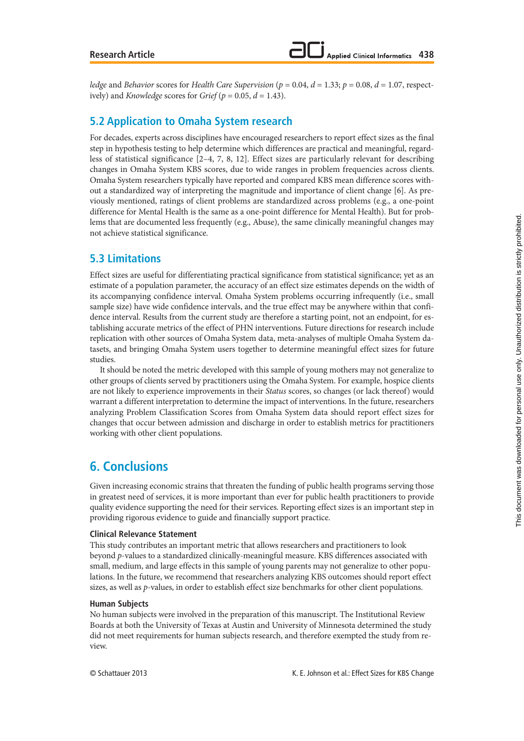*ledge* and *Behavior* scores for *Health Care Supervision* ( $p = 0.04$ ,  $d = 1.33$ ;  $p = 0.08$ ,  $d = 1.07$ , respectively) and *Knowledge* scores for *Grief* ( $p = 0.05$ ,  $d = 1.43$ ).

## **5.2 Application to Omaha System research**

For decades, experts across disciplines have encouraged researchers to report effect sizes as the final step in hypothesis testing to help determine which differences are practical and meaningful, regardless of statistical significance [2–4, 7, 8, 12]. Effect sizes are particularly relevant for describing changes in Omaha System KBS scores, due to wide ranges in problem frequencies across clients. Omaha System researchers typically have reported and compared KBS mean difference scores without a standardized way of interpreting the magnitude and importance of client change [6]. As previously mentioned, ratings of client problems are standardized across problems (e.g., a one-point difference for Mental Health is the same as a one-point difference for Mental Health). But for problems that are documented less frequently (e.g., Abuse), the same clinically meaningful changes may not achieve statistical significance.

## **5.3 Limitations**

Effect sizes are useful for differentiating practical significance from statistical significance; yet as an estimate of a population parameter, the accuracy of an effect size estimates depends on the width of its accompanying confidence interval. Omaha System problems occurring infrequently (i.e., small sample size) have wide confidence intervals, and the true effect may be anywhere within that confidence interval. Results from the current study are therefore a starting point, not an endpoint, for establishing accurate metrics of the effect of PHN interventions. Future directions for research include replication with other sources of Omaha System data, meta-analyses of multiple Omaha System datasets, and bringing Omaha System users together to determine meaningful effect sizes for future studies.

It should be noted the metric developed with this sample of young mothers may not generalize to other groups of clients served by practitioners using the Omaha System. For example, hospice clients are not likely to experience improvements in their *Status* scores, so changes (or lack thereof) would warrant a different interpretation to determine the impact of interventions. In the future, researchers analyzing Problem Classification Scores from Omaha System data should report effect sizes for changes that occur between admission and discharge in order to establish metrics for practitioners working with other client populations.

## **6. Conclusions**

Given increasing economic strains that threaten the funding of public health programs serving those in greatest need of services, it is more important than ever for public health practitioners to provide quality evidence supporting the need for their services. Reporting effect sizes is an important step in providing rigorous evidence to guide and financially support practice.

#### **Clinical Relevance Statement**

This study contributes an important metric that allows researchers and practitioners to look beyond *p*-values to a standardized clinically-meaningful measure. KBS differences associated with small, medium, and large effects in this sample of young parents may not generalize to other populations. In the future, we recommend that researchers analyzing KBS outcomes should report effect sizes, as well as *p*-values, in order to establish effect size benchmarks for other client populations.

#### **Human Subjects**

No human subjects were involved in the preparation of this manuscript. The Institutional Review Boards at both the University of Texas at Austin and University of Minnesota determined the study did not meet requirements for human subjects research, and therefore exempted the study from review.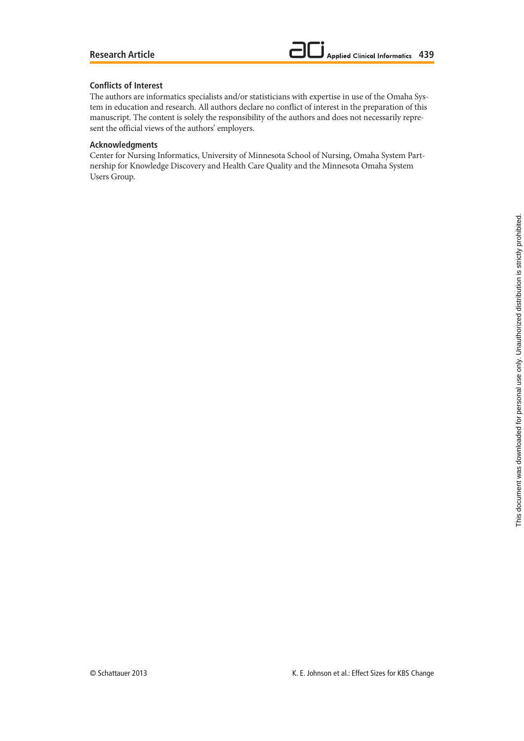#### **Conflicts of Interest**

The authors are informatics specialists and/or statisticians with expertise in use of the Omaha System in education and research. All authors declare no conflict of interest in the preparation of this manuscript. The content is solely the responsibility of the authors and does not necessarily represent the official views of the authors' employers.

#### **Acknowledgments**

Center for Nursing Informatics, University of Minnesota School of Nursing, Omaha System Partnership for Knowledge Discovery and Health Care Quality and the Minnesota Omaha System Users Group.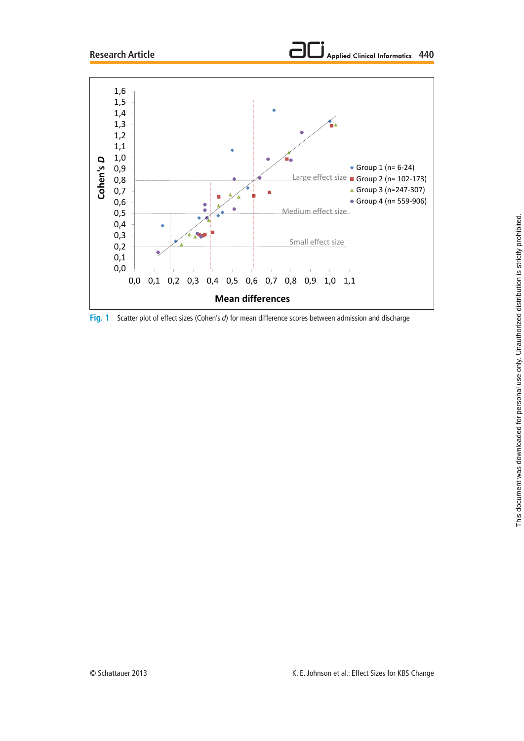



**Fig. 1** Scatter plot of effect sizes (Cohen's *d*) for mean difference scores between admission and discharge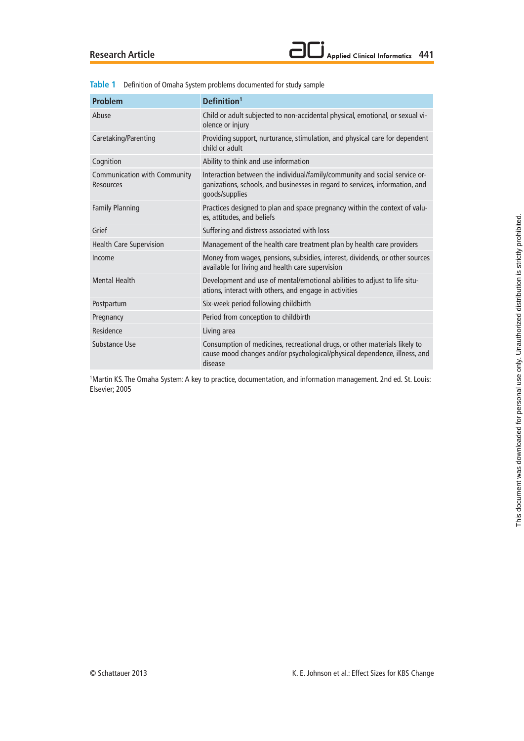

| Table |  |  |  |  | Definition of Omaha System problems documented for study sample |  |
|-------|--|--|--|--|-----------------------------------------------------------------|--|
|-------|--|--|--|--|-----------------------------------------------------------------|--|

| Problem                                          | Definition <sup>1</sup>                                                                                                                                                      |
|--------------------------------------------------|------------------------------------------------------------------------------------------------------------------------------------------------------------------------------|
| Abuse                                            | Child or adult subjected to non-accidental physical, emotional, or sexual vi-<br>olence or injury                                                                            |
| Caretaking/Parenting                             | Providing support, nurturance, stimulation, and physical care for dependent<br>child or adult                                                                                |
| Cognition                                        | Ability to think and use information                                                                                                                                         |
| Communication with Community<br><b>Resources</b> | Interaction between the individual/family/community and social service or-<br>ganizations, schools, and businesses in regard to services, information, and<br>goods/supplies |
| <b>Family Planning</b>                           | Practices designed to plan and space pregnancy within the context of valu-<br>es, attitudes, and beliefs                                                                     |
| Grief                                            | Suffering and distress associated with loss                                                                                                                                  |
| <b>Health Care Supervision</b>                   | Management of the health care treatment plan by health care providers                                                                                                        |
| Income                                           | Money from wages, pensions, subsidies, interest, dividends, or other sources<br>available for living and health care supervision                                             |
| <b>Mental Health</b>                             | Development and use of mental/emotional abilities to adjust to life situ-<br>ations, interact with others, and engage in activities                                          |
| Postpartum                                       | Six-week period following childbirth                                                                                                                                         |
| Pregnancy                                        | Period from conception to childbirth                                                                                                                                         |
| Residence                                        | Living area                                                                                                                                                                  |
| Substance Use                                    | Consumption of medicines, recreational drugs, or other materials likely to<br>cause mood changes and/or psychological/physical dependence, illness, and<br>disease           |

1 Martin KS. The Omaha System: A key to practice, documentation, and information management. 2nd ed. St. Louis: Elsevier; 2005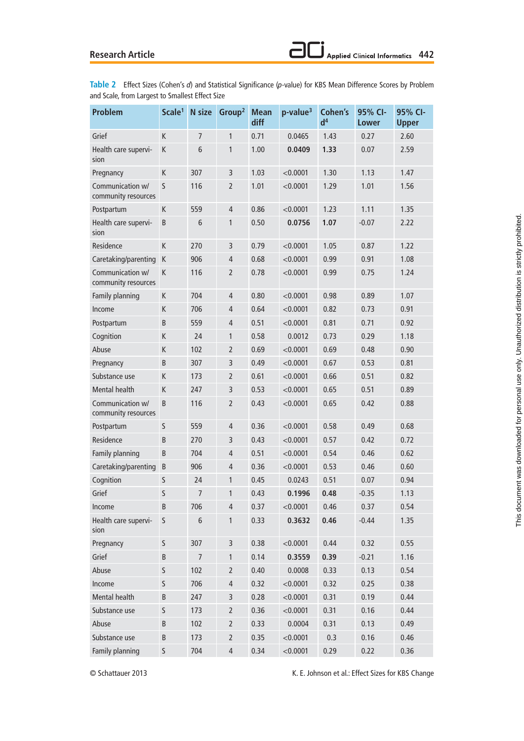**Table 2** Effect Sizes (Cohen's *d*) and Statistical Significance (*p*-value) for KBS Mean Difference Scores by Problem and Scale, from Largest to Smallest Effect Size

| <b>Problem</b>                          | Scale <sup>1</sup> | N size         | Group <sup>2</sup> | <b>Mean</b><br>diff | $p$ -value <sup>3</sup> | Cohen's<br>d <sup>4</sup> | 95% CI-<br>Lower | 95% CI-<br><b>Upper</b> |
|-----------------------------------------|--------------------|----------------|--------------------|---------------------|-------------------------|---------------------------|------------------|-------------------------|
| Grief                                   | K                  | $\overline{7}$ | 1                  | 0.71                | 0.0465                  | 1.43                      | 0.27             | 2.60                    |
| Health care supervi-<br>sion            | K                  | 6              | 1                  | 1.00                | 0.0409                  | 1.33                      | 0.07             | 2.59                    |
| Pregnancy                               | K                  | 307            | 3                  | 1.03                | < 0.0001                | 1.30                      | 1.13             | 1.47                    |
| Communication w/<br>community resources | S                  | 116            | $\overline{2}$     | 1.01                | < 0.0001                | 1.29                      | 1.01             | 1.56                    |
| Postpartum                              | K                  | 559            | $\overline{4}$     | 0.86                | < 0.0001                | 1.23                      | 1.11             | 1.35                    |
| Health care supervi-<br>sion            | B                  | 6              | 1                  | 0.50                | 0.0756                  | 1.07                      | $-0.07$          | 2.22                    |
| Residence                               | K                  | 270            | 3                  | 0.79                | < 0.0001                | 1.05                      | 0.87             | 1.22                    |
| Caretaking/parenting                    | K                  | 906            | $\overline{4}$     | 0.68                | < 0.0001                | 0.99                      | 0.91             | 1.08                    |
| Communication w/<br>community resources | K                  | 116            | $\overline{2}$     | 0.78                | < 0.0001                | 0.99                      | 0.75             | 1.24                    |
| Family planning                         | K                  | 704            | $\overline{4}$     | 0.80                | < 0.0001                | 0.98                      | 0.89             | 1.07                    |
| Income                                  | K                  | 706            | 4                  | 0.64                | < 0.0001                | 0.82                      | 0.73             | 0.91                    |
| Postpartum                              | B                  | 559            | $\overline{4}$     | 0.51                | < 0.0001                | 0.81                      | 0.71             | 0.92                    |
| Cognition                               | K                  | 24             | 1                  | 0.58                | 0.0012                  | 0.73                      | 0.29             | 1.18                    |
| Abuse                                   | K                  | 102            | $\overline{2}$     | 0.69                | < 0.0001                | 0.69                      | 0.48             | 0.90                    |
| Pregnancy                               | B                  | 307            | 3                  | 0.49                | < 0.0001                | 0.67                      | 0.53             | 0.81                    |
| Substance use                           | K                  | 173            | $\overline{2}$     | 0.61                | < 0.0001                | 0.66                      | 0.51             | 0.82                    |
| Mental health                           | K                  | 247            | 3                  | 0.53                | < 0.0001                | 0.65                      | 0.51             | 0.89                    |
| Communication w/<br>community resources | B                  | 116            | $\overline{2}$     | 0.43                | < 0.0001                | 0.65                      | 0.42             | 0.88                    |
| Postpartum                              | $\sf S$            | 559            | $\overline{4}$     | 0.36                | < 0.0001                | 0.58                      | 0.49             | 0.68                    |
| Residence                               | B                  | 270            | 3                  | 0.43                | < 0.0001                | 0.57                      | 0.42             | 0.72                    |
| Family planning                         | B                  | 704            | $\overline{4}$     | 0.51                | < 0.0001                | 0.54                      | 0.46             | 0.62                    |
| Caretaking/parenting                    | B                  | 906            | 4                  | 0.36                | < 0.0001                | 0.53                      | 0.46             | 0.60                    |
| Cognition                               | S                  | 24             | 1                  | 0.45                | 0.0243                  | 0.51                      | 0.07             | 0.94                    |
| Grief                                   | S                  | 7              | 1                  | 0.43                | 0.1996                  | 0.48                      | $-0.35$          | 1.13                    |
| Income                                  | B                  | 706            | $\overline{4}$     | 0.37                | < 0.0001                | 0.46                      | 0.37             | 0.54                    |
| Health care supervi-<br>sion            | S                  | $\,$ 6 $\,$    | $\mathbf{1}$       | 0.33                | 0.3632                  | 0.46                      | $-0.44$          | 1.35                    |
| Pregnancy                               | $\mathsf S$        | 307            | 3                  | 0.38                | < 0.0001                | 0.44                      | 0.32             | 0.55                    |
| Grief                                   | B                  | 7              | 1                  | 0.14                | 0.3559                  | 0.39                      | $-0.21$          | 1.16                    |
| Abuse                                   | $\mathsf S$        | 102            | $\sqrt{2}$         | 0.40                | 0.0008                  | 0.33                      | 0.13             | 0.54                    |
| Income                                  | S                  | 706            | 4                  | 0.32                | < 0.0001                | 0.32                      | 0.25             | 0.38                    |
| Mental health                           | B                  | 247            | 3                  | 0.28                | < 0.0001                | 0.31                      | 0.19             | 0.44                    |
| Substance use                           | S                  | 173            | $\overline{2}$     | 0.36                | < 0.0001                | 0.31                      | 0.16             | 0.44                    |
| Abuse                                   | B                  | 102            | $\overline{2}$     | 0.33                | 0.0004                  | 0.31                      | 0.13             | 0.49                    |
| Substance use                           | B                  | 173            | $\overline{2}$     | 0.35                | < 0.0001                | 0.3                       | 0.16             | 0.46                    |
| Family planning                         | S                  | 704            | $\overline{4}$     | 0.34                | < 0.0001                | 0.29                      | 0.22             | 0.36                    |

© Schattauer 2013

K. E. Johnson et al.: Effect Sizes for KBS Change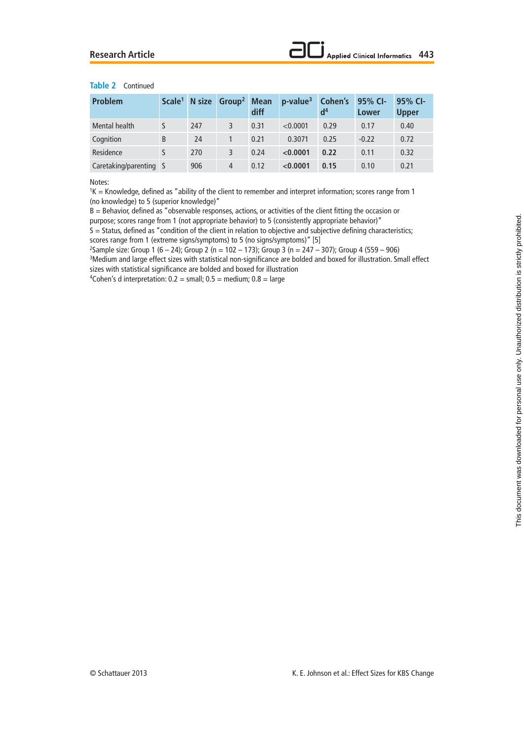#### **Research Article**

#### **Table 2** Continued

| <b>Problem</b>         | Scale <sup>1</sup> | N size | Group <sup>2</sup> Mean | diff | $p$ -value <sup>3</sup> | Cohen's<br>d <sup>4</sup> | 95% CI-<br>Lower | 95% CI-<br><b>Upper</b> |
|------------------------|--------------------|--------|-------------------------|------|-------------------------|---------------------------|------------------|-------------------------|
| Mental health          | S                  | 247    | 3                       | 0.31 | < 0.0001                | 0.29                      | 0.17             | 0.40                    |
| Cognition              | B                  | 24     |                         | 0.21 | 0.3071                  | 0.25                      | $-0.22$          | 0.72                    |
| Residence              |                    | 270    | $\mathbf{R}$            | 0.24 | < 0.0001                | 0.22                      | 0.11             | 0.32                    |
| Caretaking/parenting S |                    | 906    | $\overline{4}$          | 0.12 | < 0.0001                | 0.15                      | 0.10             | 0.21                    |

Notes:

 $1K =$  Knowledge, defined as "ability of the client to remember and interpret information; scores range from 1 (no knowledge) to 5 (superior knowledge)"

B = Behavior, defined as "observable responses, actions, or activities of the client fitting the occasion or

purpose; scores range from 1 (not appropriate behavior) to 5 (consistently appropriate behavior)"

S = Status, defined as "condition of the client in relation to objective and subjective defining characteristics; scores range from 1 (extreme signs/symptoms) to 5 (no signs/symptoms)" [5]

2 Sample size: Group 1 (6 – 24); Group 2 (n = 102 – 173); Group 3 (n = 247 – 307); Group 4 (559 – 906) 3 Medium and large effect sizes with statistical non-significance are bolded and boxed for illustration. Small effect sizes with statistical significance are bolded and boxed for illustration

<sup>4</sup>Cohen's d interpretation:  $0.2$  = small;  $0.5$  = medium;  $0.8$  = large